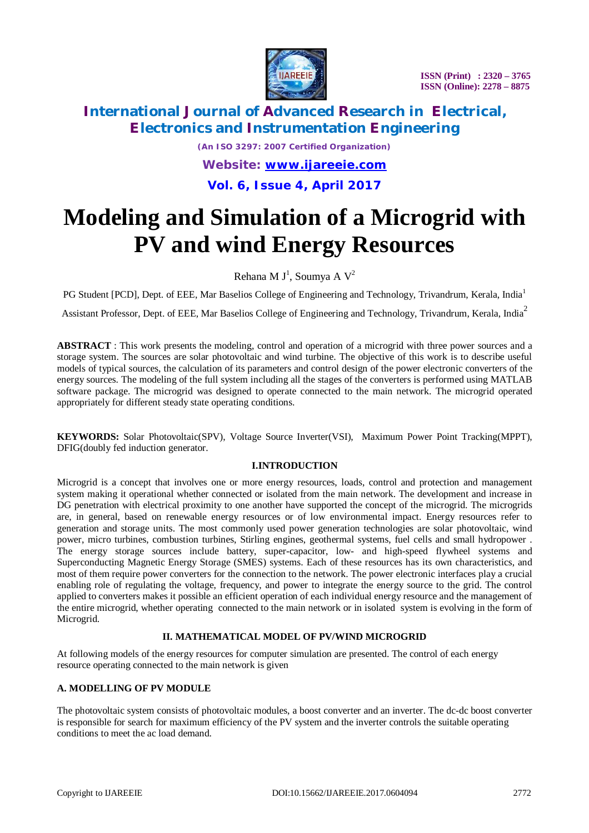

# **International Journal of Advanced Research in Electrical, Electronics and Instrumentation Engineering**

*(An ISO 3297: 2007 Certified Organization) Website: [www.ijareeie.com](http://www.ijareeie.com)*

### **Vol. 6, Issue 4, April 2017**

# **Modeling and Simulation of a Microgrid with PV and wind Energy Resources**

Rehana M J<sup>1</sup>, Soumya A V<sup>2</sup>

PG Student [PCD], Dept. of EEE, Mar Baselios College of Engineering and Technology, Trivandrum, Kerala, India<sup>1</sup>

Assistant Professor, Dept. of EEE, Mar Baselios College of Engineering and Technology, Trivandrum, Kerala, India<sup>2</sup>

**ABSTRACT** : This work presents the modeling, control and operation of a microgrid with three power sources and a storage system. The sources are solar photovoltaic and wind turbine. The objective of this work is to describe useful models of typical sources, the calculation of its parameters and control design of the power electronic converters of the energy sources. The modeling of the full system including all the stages of the converters is performed using MATLAB software package. The microgrid was designed to operate connected to the main network. The microgrid operated appropriately for different steady state operating conditions.

**KEYWORDS:** Solar Photovoltaic(SPV), Voltage Source Inverter(VSI), Maximum Power Point Tracking(MPPT), DFIG(doubly fed induction generator.

### **I.INTRODUCTION**

Microgrid is a concept that involves one or more energy resources, loads, control and protection and management system making it operational whether connected or isolated from the main network. The development and increase in DG penetration with electrical proximity to one another have supported the concept of the microgrid. The microgrids are, in general, based on renewable energy resources or of low environmental impact. Energy resources refer to generation and storage units. The most commonly used power generation technologies are solar photovoltaic, wind power, micro turbines, combustion turbines, Stirling engines, geothermal systems, fuel cells and small hydropower . The energy storage sources include battery, super-capacitor, low- and high-speed flywheel systems and Superconducting Magnetic Energy Storage (SMES) systems. Each of these resources has its own characteristics, and most of them require power converters for the connection to the network. The power electronic interfaces play a crucial enabling role of regulating the voltage, frequency, and power to integrate the energy source to the grid. The control applied to converters makes it possible an efficient operation of each individual energy resource and the management of the entire microgrid, whether operating connected to the main network or in isolated system is evolving in the form of Microgrid.

#### **II. MATHEMATICAL MODEL OF PV/WIND MICROGRID**

At following models of the energy resources for computer simulation are presented. The control of each energy resource operating connected to the main network is given

#### **A. MODELLING OF PV MODULE**

The photovoltaic system consists of photovoltaic modules, a boost converter and an inverter. The dc-dc boost converter is responsible for search for maximum efficiency of the PV system and the inverter controls the suitable operating conditions to meet the ac load demand.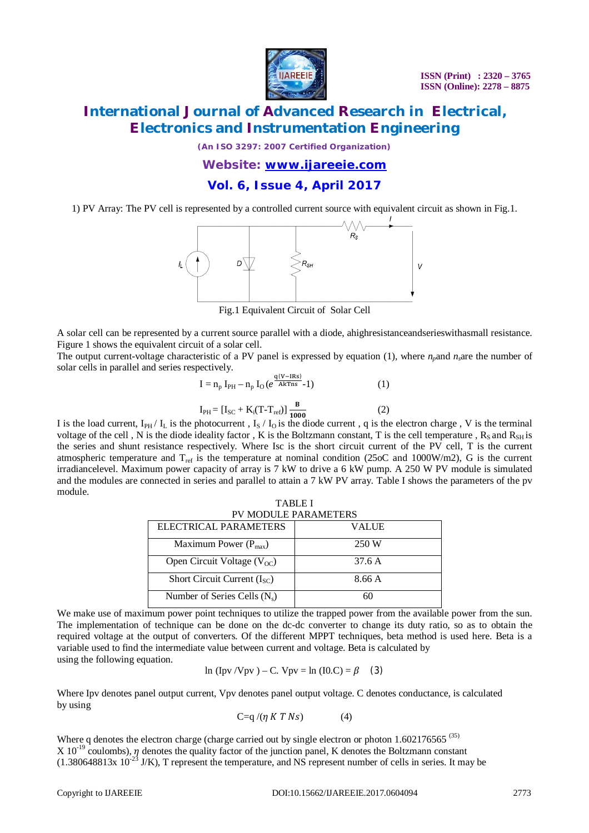

## **International Journal of Advanced Research in Electrical, Electronics and Instrumentation Engineering**

*(An ISO 3297: 2007 Certified Organization)*

*Website: [www.ijareeie.com](http://www.ijareeie.com)*

### **Vol. 6, Issue 4, April 2017**

1) PV Array: The PV cell is represented by a controlled current source with equivalent circuit as shown in Fig.1.



Fig.1 Equivalent Circuit of Solar Cell

A solar cell can be represented by a current source parallel with a diode, ahighresistanceandserieswithasmall resistance. Figure 1 shows the equivalent circuit of a solar cell.

The output current-voltage characteristic of a PV panel is expressed by equation (1), where  $n<sub>n</sub>$ and  $n<sub>s</sub>$ are the number of solar cells in parallel and series respectively.

$$
I = n_{p} I_{PH} - n_{p} I_{O} (e^{\frac{q(V - IRs)}{AKTns}} - 1)
$$
(1)  

$$
I_{PH} = [I_{SC} + K_{i}(T - T_{ref})] \frac{B}{1000}
$$
(2)

I is the load current,  $I_{PH}$  /  $I_L$  is the photocurrent ,  $I_S$  /  $I_O$  is the diode current , q is the electron charge , V is the terminal voltage of the cell, N is the diode ideality factor, K is the Boltzmann constant, T is the cell temperature,  $R_s$  and  $R_{\text{SH}}$  is the series and shunt resistance respectively. Where Isc is the short circuit current of the PV cell, T is the current atmospheric temperature and  $T_{ref}$  is the temperature at nominal condition (25oC and 1000W/m2), G is the current irradiancelevel. Maximum power capacity of array is 7 kW to drive a 6 kW pump. A 250 W PV module is simulated and the modules are connected in series and parallel to attain a 7 kW PV array. Table I shows the parameters of the pv module.

| <b>TABLE I</b>                  |        |  |  |  |
|---------------------------------|--------|--|--|--|
| PV MODULE PARAMETERS            |        |  |  |  |
| ELECTRICAL PARAMETERS           | VALUE  |  |  |  |
| Maximum Power $(P_{max})$       | 250 W  |  |  |  |
| Open Circuit Voltage $(V_{OC})$ | 37.6 A |  |  |  |
| Short Circuit Current $(ISC)$   | 8.66 A |  |  |  |
| Number of Series Cells $(N_s)$  | 60     |  |  |  |

We make use of maximum power point techniques to utilize the trapped power from the available power from the sun. The implementation of technique can be done on the dc-dc converter to change its duty ratio, so as to obtain the required voltage at the output of converters. Of the different MPPT techniques, beta method is used here. Beta is a variable used to find the intermediate value between current and voltage. Beta is calculated by using the following equation.

ln (Ipv /Vpv) – C. Vpv = ln (I0.C) = 
$$
\beta
$$
 (3)

Where Ipv denotes panel output current, Vpv denotes panel output voltage. C denotes conductance, is calculated by using

$$
C=q/(\eta K T N s) \tag{4}
$$

Where q denotes the electron charge (charge carried out by single electron or photon 1.602176565<sup>(35)</sup>  $X 10^{-19}$  coulombs),  $\eta$  denotes the quality factor of the junction panel, K denotes the Boltzmann constant  $(1.380648813x 10<sup>-23</sup> J/K)$ , T represent the temperature, and NS represent number of cells in series. It may be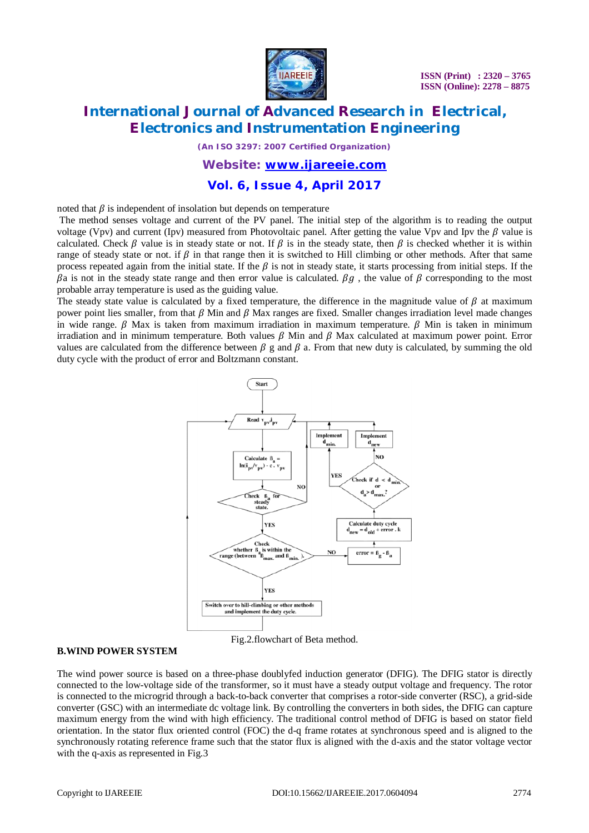

# **International Journal of Advanced Research in Electrical, Electronics and Instrumentation Engineering**

*(An ISO 3297: 2007 Certified Organization)*

#### *Website: [www.ijareeie.com](http://www.ijareeie.com)*

### **Vol. 6, Issue 4, April 2017**

noted that  $\beta$  is independent of insolation but depends on temperature

The method senses voltage and current of the PV panel. The initial step of the algorithm is to reading the output voltage (Vpv) and current (Ipv) measured from Photovoltaic panel. After getting the value Vpv and Ipv the  $\beta$  value is calculated. Check  $\beta$  value is in steady state or not. If  $\beta$  is in the steady state, then  $\beta$  is checked whether it is within range of steady state or not. if  $\beta$  in that range then it is switched to Hill climbing or other methods. After that same process repeated again from the initial state. If the  $\beta$  is not in steady state, it starts processing from initial steps. If the  $\beta$ a is not in the steady state range and then error value is calculated.  $\beta g$ , the value of  $\beta$  corresponding to the most probable array temperature is used as the guiding value.

The steady state value is calculated by a fixed temperature, the difference in the magnitude value of  $\beta$  at maximum power point lies smaller, from that  $\beta$  Min and  $\beta$  Max ranges are fixed. Smaller changes irradiation level made changes in wide range.  $\beta$  Max is taken from maximum irradiation in maximum temperature.  $\beta$  Min is taken in minimum irradiation and in minimum temperature. Both values  $\beta$  Min and  $\beta$  Max calculated at maximum power point. Error values are calculated from the difference between  $\beta$  g and  $\beta$  a. From that new duty is calculated, by summing the old duty cycle with the product of error and Boltzmann constant.



#### **B.WIND POWER SYSTEM**

The wind power source is based on a three-phase doublyfed induction generator (DFIG). The DFIG stator is directly connected to the low-voltage side of the transformer, so it must have a steady output voltage and frequency. The rotor is connected to the microgrid through a back-to-back converter that comprises a rotor-side converter (RSC), a grid-side converter (GSC) with an intermediate dc voltage link. By controlling the converters in both sides, the DFIG can capture maximum energy from the wind with high efficiency. The traditional control method of DFIG is based on stator field orientation. In the stator flux oriented control (FOC) the d-q frame rotates at synchronous speed and is aligned to the synchronously rotating reference frame such that the stator flux is aligned with the d-axis and the stator voltage vector with the q-axis as represented in Fig.3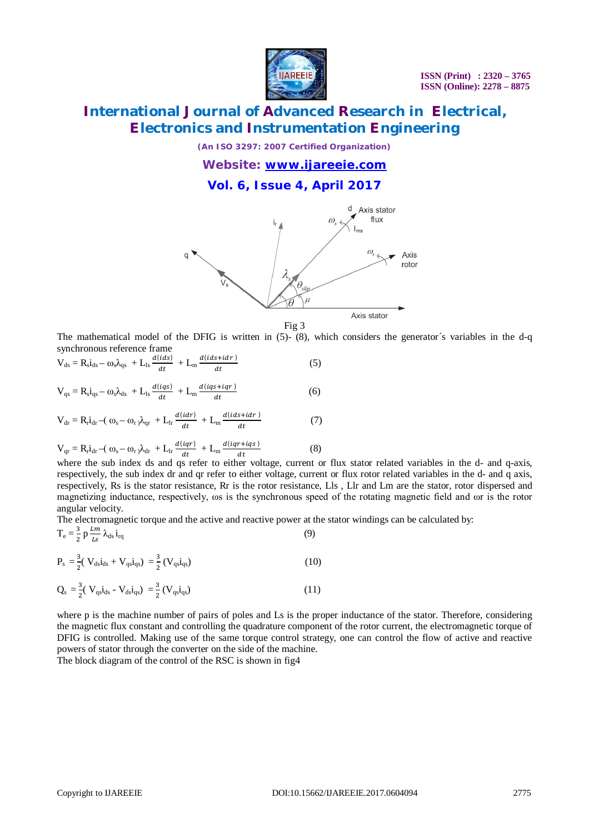

# **International Journal of Advanced Research in Electrical, Electronics and Instrumentation Engineering**

*(An ISO 3297: 2007 Certified Organization)*

*Website: [www.ijareeie.com](http://www.ijareeie.com)*

### **Vol. 6, Issue 4, April 2017**





The mathematical model of the DFIG is written in (5)- (8), which considers the generator's variables in the d-q synchronous reference frame

$$
V_{ds} = R_s i_{ds} - \omega_s \lambda_{qs} + L_{ls} \frac{d(ids)}{dt} + L_m \frac{d(ids + idr)}{dt}
$$
(5)  
\n
$$
V_{qs} = R_s i_{qs} - \omega_s \lambda_{ds} + L_{ls} \frac{d(iqs)}{dt} + L_m \frac{d(iqs + iqr)}{dt}
$$
(6)  
\n
$$
V_{dr} = R_r i_{dr} - (\omega_s - \omega_r) \lambda_{qr} + L_{lr} \frac{d(idr)}{dt} + L_m \frac{d(ids + idr)}{dt}
$$
(7)  
\n
$$
V_{qr} = R_r i_{dr} - (\omega_s - \omega_r) \lambda_{dr} + L_{lr} \frac{d(iqr)}{dt} + L_m \frac{d(iqr + iqs)}{dt}
$$
(8)

 $\,dt$ where the sub index ds and qs refer to either voltage, current or flux stator related variables in the d- and q-axis, respectively, the sub index dr and qr refer to either voltage, current or flux rotor related variables in the d- and q axis, respectively, Rs is the stator resistance, Rr is the rotor resistance, Lls , Llr and Lm are the stator, rotor dispersed and magnetizing inductance, respectively, ωs is the synchronous speed of the rotating magnetic field and ωr is the rotor angular velocity.

The electromagnetic torque and the active and reactive power at the stator windings can be calculated by:

$$
T_e = \frac{3}{2} p \frac{lm}{Ls} \lambda_{ds} i_{rq}
$$
 (9)

$$
P_s = \frac{3}{2} (V_{ds} i_{ds} + V_{qs} i_{qs}) = \frac{3}{2} (V_{qs} i_{qs})
$$
 (10)

$$
Q_s = \frac{3}{2} (V_{qs} i_{ds} - V_{ds} i_{qs}) = \frac{3}{2} (V_{qs} i_{qs})
$$
 (11)

where p is the machine number of pairs of poles and Ls is the proper inductance of the stator. Therefore, considering the magnetic flux constant and controlling the quadrature component of the rotor current, the electromagnetic torque of DFIG is controlled. Making use of the same torque control strategy, one can control the flow of active and reactive powers of stator through the converter on the side of the machine.

The block diagram of the control of the RSC is shown in fig4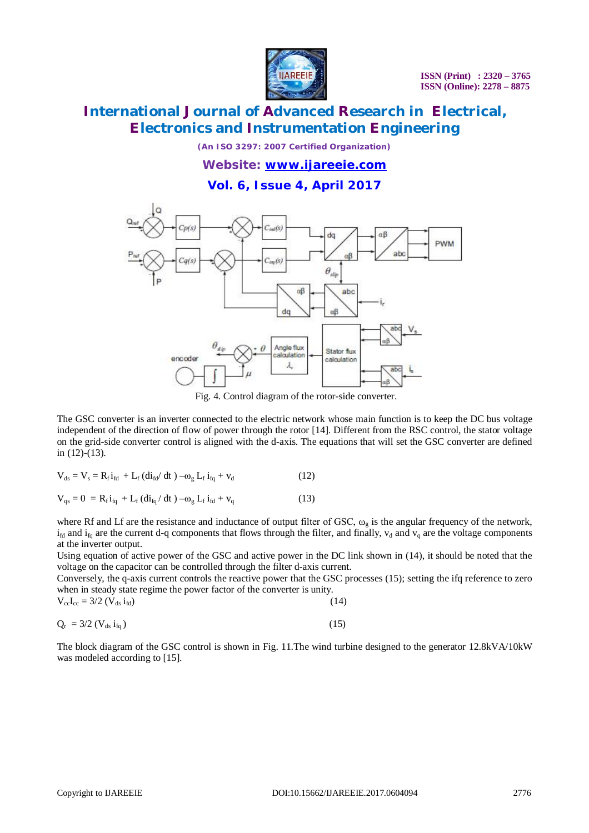

# **International Journal of Advanced Research in Electrical, Electronics and Instrumentation Engineering**

*(An ISO 3297: 2007 Certified Organization)*

*Website: [www.ijareeie.com](http://www.ijareeie.com)*

### **Vol. 6, Issue 4, April 2017**



Fig. 4. Control diagram of the rotor-side converter.

The GSC converter is an inverter connected to the electric network whose main function is to keep the DC bus voltage independent of the direction of flow of power through the rotor [14]. Different from the RSC control, the stator voltage on the grid-side converter control is aligned with the d-axis. The equations that will set the GSC converter are defined in (12)-(13).

$$
V_{ds} = V_s = R_f i_{fd} + L_f (di_{fd}/ dt) - \omega_g L_f i_{fq} + v_d
$$
\n(12)

$$
V_{qs} = 0 = R_f i_{fq} + L_f (di_{fq} / dt) - \omega_g L_f i_{fd} + v_q
$$
 (13)

where Rf and Lf are the resistance and inductance of output filter of GSC,  $\omega_{g}$  is the angular frequency of the network,  $i_{fd}$  and  $i_{fq}$  are the current d-q components that flows through the filter, and finally,  $v_d$  and  $v_q$  are the voltage components at the inverter output.

Using equation of active power of the GSC and active power in the DC link shown in (14), it should be noted that the voltage on the capacitor can be controlled through the filter d-axis current.

Conversely, the q-axis current controls the reactive power that the GSC processes (15); setting the ifq reference to zero when in steady state regime the power factor of the converter is unity.

| $V_{cc}I_{cc} = 3/2 (V_{ds} i_{fd})$ | $\sim$ |  | (14) |
|--------------------------------------|--------|--|------|
|                                      |        |  |      |

$$
Q_{\rm r} = 3/2 \left( V_{\rm ds} \, i_{\rm fq} \right) \tag{15}
$$

The block diagram of the GSC control is shown in Fig. 11.The wind turbine designed to the generator 12.8kVA/10kW was modeled according to [15].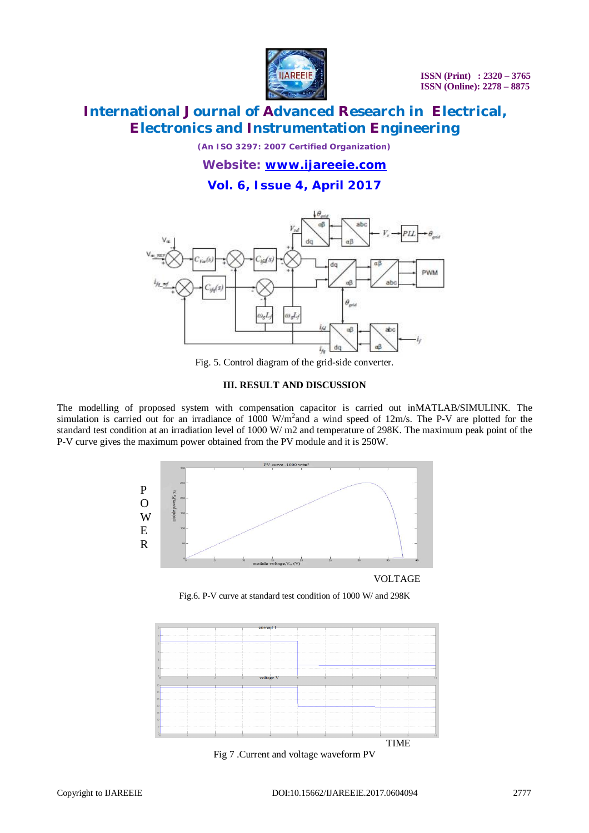

# **International Journal of Advanced Research in Electrical, Electronics and Instrumentation Engineering**

*(An ISO 3297: 2007 Certified Organization)*

*Website: [www.ijareeie.com](http://www.ijareeie.com)*

### **Vol. 6, Issue 4, April 2017**



Fig. 5. Control diagram of the grid-side converter.

#### **III. RESULT AND DISCUSSION**

The modelling of proposed system with compensation capacitor is carried out inMATLAB/SIMULINK. The simulation is carried out for an irradiance of  $1000 \text{ W/m}^2$  and a wind speed of  $12 \text{m/s}$ . The P-V are plotted for the standard test condition at an irradiation level of 1000 W/ m2 and temperature of 298K. The maximum peak point of the P-V curve gives the maximum power obtained from the PV module and it is 250W.



VOLTAGE

Fig.6. P-V curve at standard test condition of 1000 W/ and 298K



Fig 7 .Current and voltage waveform PV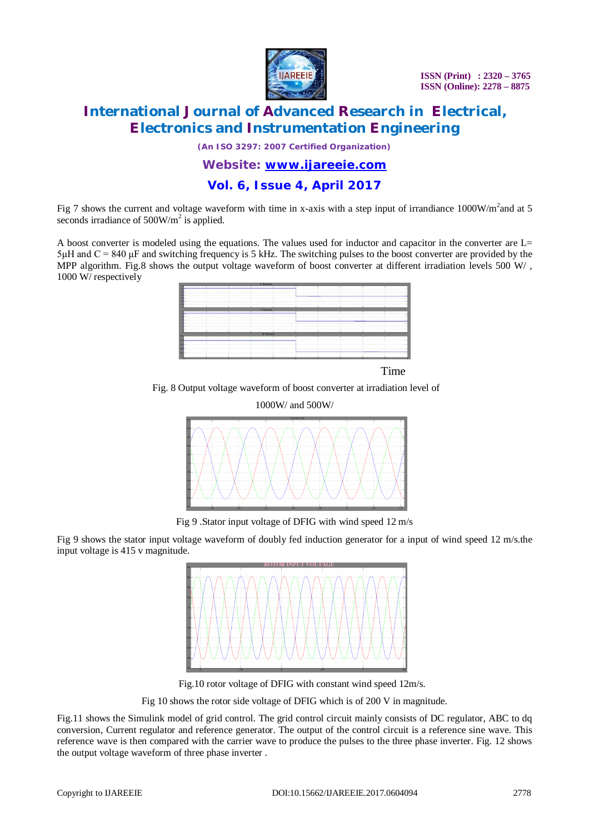

# **International Journal of Advanced Research in Electrical, Electronics and Instrumentation Engineering**

*(An ISO 3297: 2007 Certified Organization)*

### *Website: [www.ijareeie.com](http://www.ijareeie.com)*

### **Vol. 6, Issue 4, April 2017**

Fig 7 shows the current and voltage waveform with time in x-axis with a step input of irrandiance  $1000W/m<sup>2</sup>$  and at 5 seconds irradiance of  $500W/m^2$  is applied.

A boost converter is modeled using the equations. The values used for inductor and capacitor in the converter are L=  $5\mu$ H and C = 840  $\mu$ F and switching frequency is 5 kHz. The switching pulses to the boost converter are provided by the MPP algorithm. Fig.8 shows the output voltage waveform of boost converter at different irradiation levels  $500 W/$ , 1000 W/ respectively



Time

Fig. 8 Output voltage waveform of boost converter at irradiation level of



Fig 9 .Stator input voltage of DFIG with wind speed 12 m/s

Fig 9 shows the stator input voltage waveform of doubly fed induction generator for a input of wind speed 12 m/s.the input voltage is 415 v magnitude.



Fig.10 rotor voltage of DFIG with constant wind speed 12m/s.

Fig 10 shows the rotor side voltage of DFIG which is of 200 V in magnitude.

Fig.11 shows the Simulink model of grid control. The grid control circuit mainly consists of DC regulator, ABC to dq conversion, Current regulator and reference generator. The output of the control circuit is a reference sine wave. This reference wave is then compared with the carrier wave to produce the pulses to the three phase inverter. Fig. 12 shows the output voltage waveform of three phase inverter .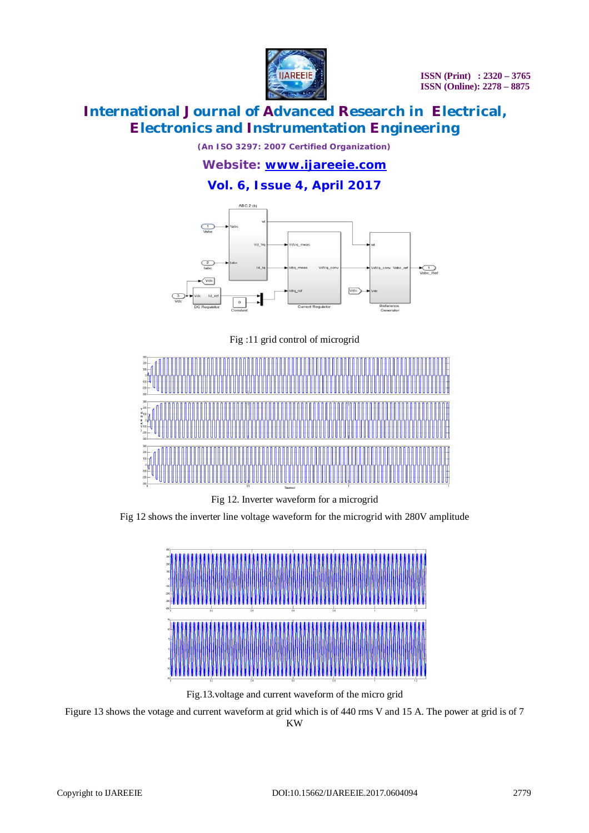

# **International Journal of Advanced Research in Electrical, Electronics and Instrumentation Engineering**

*(An ISO 3297: 2007 Certified Organization)*

### *Website: [www.ijareeie.com](http://www.ijareeie.com)*

**Vol. 6, Issue 4, April 2017**



Fig :11 grid control of microgrid



Fig 12. Inverter waveform for a microgrid

Fig 12 shows the inverter line voltage waveform for the microgrid with 280V amplitude



Fig.13.voltage and current waveform of the micro grid

Figure 13 shows the votage and current waveform at grid which is of 440 rms V and 15 A. The power at grid is of 7

KW